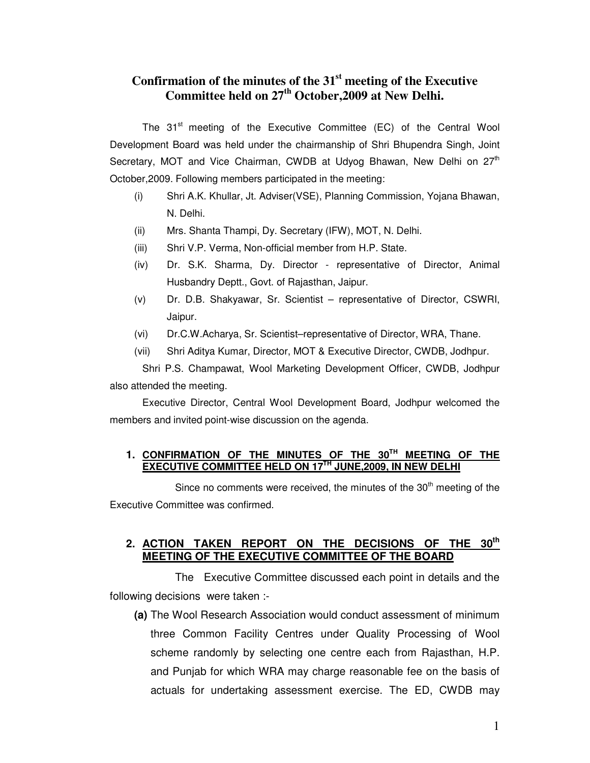# **Confirmation of the minutes of the 31st meeting of the Executive Committee held on 27th October,2009 at New Delhi.**

The 31<sup>st</sup> meeting of the Executive Committee (EC) of the Central Wool Development Board was held under the chairmanship of Shri Bhupendra Singh, Joint Secretary, MOT and Vice Chairman, CWDB at Udyog Bhawan, New Delhi on  $27<sup>th</sup>$ October,2009. Following members participated in the meeting:

- (i) Shri A.K. Khullar, Jt. Adviser(VSE), Planning Commission, Yojana Bhawan, N. Delhi.
- (ii) Mrs. Shanta Thampi, Dy. Secretary (IFW), MOT, N. Delhi.
- (iii) Shri V.P. Verma, Non-official member from H.P. State.
- (iv) Dr. S.K. Sharma, Dy. Director representative of Director, Animal Husbandry Deptt., Govt. of Rajasthan, Jaipur.
- (v) Dr. D.B. Shakyawar, Sr. Scientist representative of Director, CSWRI, Jaipur.
- (vi) Dr.C.W.Acharya, Sr. Scientist–representative of Director, WRA, Thane.
- (vii) Shri Aditya Kumar, Director, MOT & Executive Director, CWDB, Jodhpur.

Shri P.S. Champawat, Wool Marketing Development Officer, CWDB, Jodhpur also attended the meeting.

 Executive Director, Central Wool Development Board, Jodhpur welcomed the members and invited point-wise discussion on the agenda.

#### **1. CONFIRMATION OF THE MINUTES OF THE 30TH MEETING OF THE EXECUTIVE COMMITTEE HELD ON 17TH JUNE,2009, IN NEW DELHI**

Since no comments were received, the minutes of the  $30<sup>th</sup>$  meeting of the Executive Committee was confirmed.

#### **2. ACTION TAKEN REPORT ON THE DECISIONS OF THE 30th MEETING OF THE EXECUTIVE COMMITTEE OF THE BOARD**

 The Executive Committee discussed each point in details and the following decisions were taken :-

**(a)** The Wool Research Association would conduct assessment of minimum three Common Facility Centres under Quality Processing of Wool scheme randomly by selecting one centre each from Rajasthan, H.P. and Punjab for which WRA may charge reasonable fee on the basis of actuals for undertaking assessment exercise. The ED, CWDB may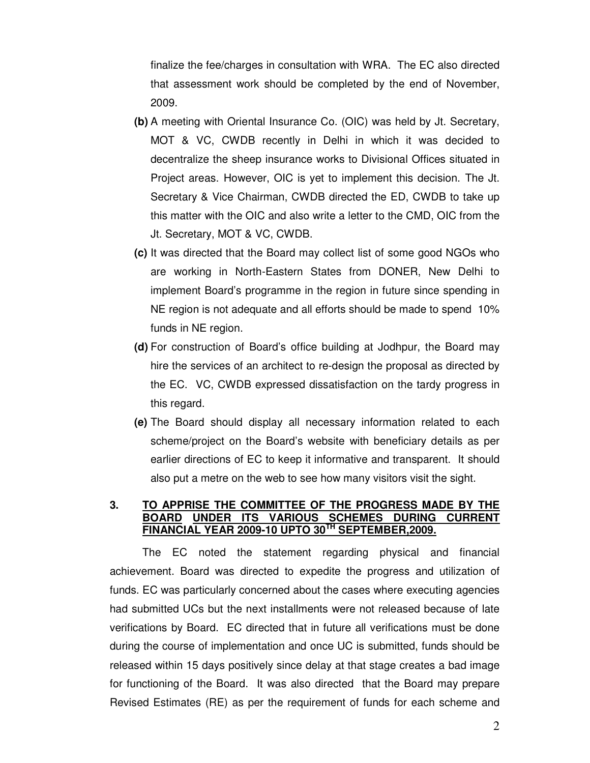finalize the fee/charges in consultation with WRA. The EC also directed that assessment work should be completed by the end of November, 2009.

- **(b)** A meeting with Oriental Insurance Co. (OIC) was held by Jt. Secretary, MOT & VC, CWDB recently in Delhi in which it was decided to decentralize the sheep insurance works to Divisional Offices situated in Project areas. However, OIC is yet to implement this decision. The Jt. Secretary & Vice Chairman, CWDB directed the ED, CWDB to take up this matter with the OIC and also write a letter to the CMD, OIC from the Jt. Secretary, MOT & VC, CWDB.
- **(c)** It was directed that the Board may collect list of some good NGOs who are working in North-Eastern States from DONER, New Delhi to implement Board's programme in the region in future since spending in NE region is not adequate and all efforts should be made to spend 10% funds in NE region.
- **(d)** For construction of Board's office building at Jodhpur, the Board may hire the services of an architect to re-design the proposal as directed by the EC. VC, CWDB expressed dissatisfaction on the tardy progress in this regard.
- **(e)** The Board should display all necessary information related to each scheme/project on the Board's website with beneficiary details as per earlier directions of EC to keep it informative and transparent. It should also put a metre on the web to see how many visitors visit the sight.

#### **3. TO APPRISE THE COMMITTEE OF THE PROGRESS MADE BY THE BOARD UNDER ITS VARIOUS SCHEMES DURING CURRENT FINANCIAL YEAR 2009-10 UPTO 30TH SEPTEMBER,2009.**

The EC noted the statement regarding physical and financial achievement. Board was directed to expedite the progress and utilization of funds. EC was particularly concerned about the cases where executing agencies had submitted UCs but the next installments were not released because of late verifications by Board. EC directed that in future all verifications must be done during the course of implementation and once UC is submitted, funds should be released within 15 days positively since delay at that stage creates a bad image for functioning of the Board. It was also directed that the Board may prepare Revised Estimates (RE) as per the requirement of funds for each scheme and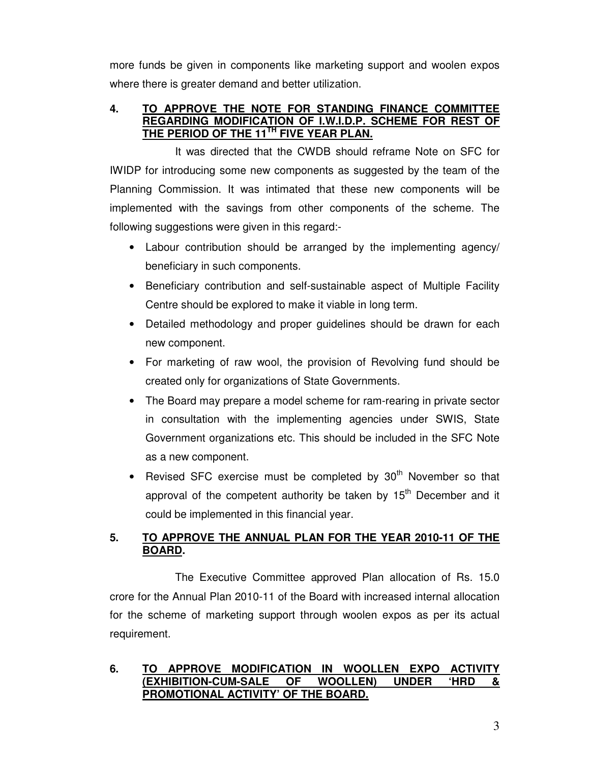more funds be given in components like marketing support and woolen expos where there is greater demand and better utilization.

### **4. TO APPROVE THE NOTE FOR STANDING FINANCE COMMITTEE REGARDING MODIFICATION OF I.W.I.D.P. SCHEME FOR REST OF THE PERIOD OF THE 11TH FIVE YEAR PLAN.**

 It was directed that the CWDB should reframe Note on SFC for IWIDP for introducing some new components as suggested by the team of the Planning Commission. It was intimated that these new components will be implemented with the savings from other components of the scheme. The following suggestions were given in this regard:-

- Labour contribution should be arranged by the implementing agency/ beneficiary in such components.
- Beneficiary contribution and self-sustainable aspect of Multiple Facility Centre should be explored to make it viable in long term.
- Detailed methodology and proper guidelines should be drawn for each new component.
- For marketing of raw wool, the provision of Revolving fund should be created only for organizations of State Governments.
- The Board may prepare a model scheme for ram-rearing in private sector in consultation with the implementing agencies under SWIS, State Government organizations etc. This should be included in the SFC Note as a new component.
- Revised SFC exercise must be completed by  $30<sup>th</sup>$  November so that approval of the competent authority be taken by  $15<sup>th</sup>$  December and it could be implemented in this financial year.

# **5. TO APPROVE THE ANNUAL PLAN FOR THE YEAR 2010-11 OF THE BOARD.**

 The Executive Committee approved Plan allocation of Rs. 15.0 crore for the Annual Plan 2010-11 of the Board with increased internal allocation for the scheme of marketing support through woolen expos as per its actual requirement.

# **6. TO APPROVE MODIFICATION IN WOOLLEN EXPO ACTIVITY (EXHIBITION-CUM-SALE OF WOOLLEN) UNDER 'HRD & PROMOTIONAL ACTIVITY' OF THE BOARD.**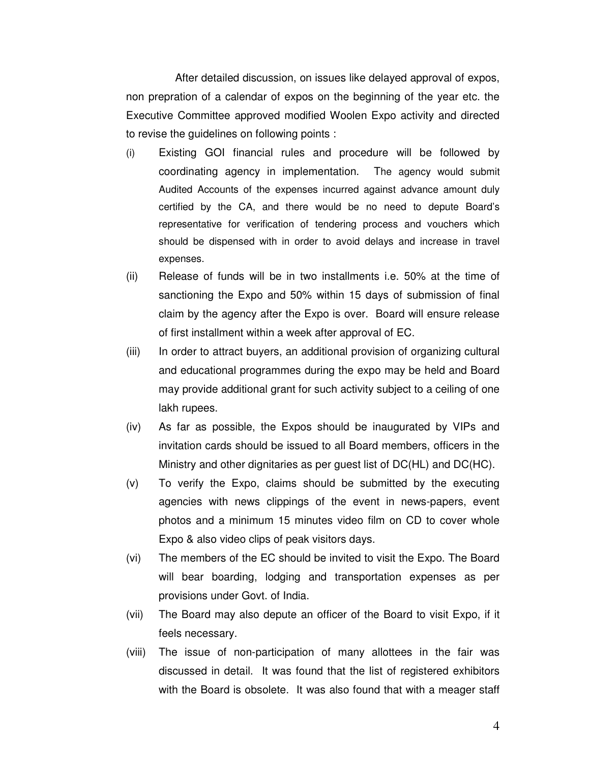After detailed discussion, on issues like delayed approval of expos, non prepration of a calendar of expos on the beginning of the year etc. the Executive Committee approved modified Woolen Expo activity and directed to revise the guidelines on following points :

- (i) Existing GOI financial rules and procedure will be followed by coordinating agency in implementation. The agency would submit Audited Accounts of the expenses incurred against advance amount duly certified by the CA, and there would be no need to depute Board's representative for verification of tendering process and vouchers which should be dispensed with in order to avoid delays and increase in travel expenses.
- (ii) Release of funds will be in two installments i.e. 50% at the time of sanctioning the Expo and 50% within 15 days of submission of final claim by the agency after the Expo is over. Board will ensure release of first installment within a week after approval of EC.
- (iii) In order to attract buyers, an additional provision of organizing cultural and educational programmes during the expo may be held and Board may provide additional grant for such activity subject to a ceiling of one lakh rupees.
- (iv) As far as possible, the Expos should be inaugurated by VIPs and invitation cards should be issued to all Board members, officers in the Ministry and other dignitaries as per guest list of DC(HL) and DC(HC).
- (v) To verify the Expo, claims should be submitted by the executing agencies with news clippings of the event in news-papers, event photos and a minimum 15 minutes video film on CD to cover whole Expo & also video clips of peak visitors days.
- (vi) The members of the EC should be invited to visit the Expo. The Board will bear boarding, lodging and transportation expenses as per provisions under Govt. of India.
- (vii) The Board may also depute an officer of the Board to visit Expo, if it feels necessary.
- (viii) The issue of non-participation of many allottees in the fair was discussed in detail. It was found that the list of registered exhibitors with the Board is obsolete. It was also found that with a meager staff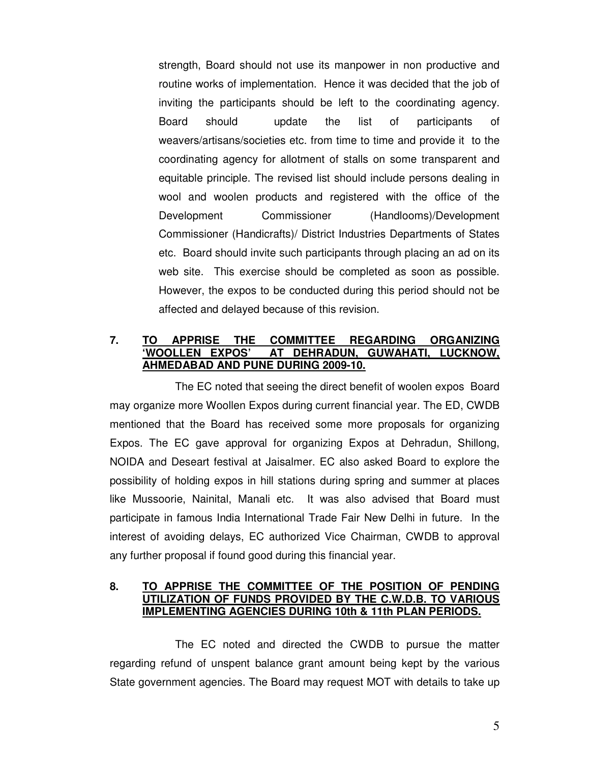strength, Board should not use its manpower in non productive and routine works of implementation. Hence it was decided that the job of inviting the participants should be left to the coordinating agency. Board should update the list of participants of weavers/artisans/societies etc. from time to time and provide it to the coordinating agency for allotment of stalls on some transparent and equitable principle. The revised list should include persons dealing in wool and woolen products and registered with the office of the Development Commissioner (Handlooms)/Development Commissioner (Handicrafts)/ District Industries Departments of States etc. Board should invite such participants through placing an ad on its web site. This exercise should be completed as soon as possible. However, the expos to be conducted during this period should not be affected and delayed because of this revision.

### **7. TO APPRISE THE COMMITTEE REGARDING ORGANIZING 'WOOLLEN EXPOS' AT DEHRADUN, GUWAHATI, LUCKNOW, AHMEDABAD AND PUNE DURING 2009-10.**

 The EC noted that seeing the direct benefit of woolen expos Board may organize more Woollen Expos during current financial year. The ED, CWDB mentioned that the Board has received some more proposals for organizing Expos. The EC gave approval for organizing Expos at Dehradun, Shillong, NOIDA and Deseart festival at Jaisalmer. EC also asked Board to explore the possibility of holding expos in hill stations during spring and summer at places like Mussoorie, Nainital, Manali etc. It was also advised that Board must participate in famous India International Trade Fair New Delhi in future. In the interest of avoiding delays, EC authorized Vice Chairman, CWDB to approval any further proposal if found good during this financial year.

#### **8. TO APPRISE THE COMMITTEE OF THE POSITION OF PENDING UTILIZATION OF FUNDS PROVIDED BY THE C.W.D.B. TO VARIOUS IMPLEMENTING AGENCIES DURING 10th & 11th PLAN PERIODS.**

 The EC noted and directed the CWDB to pursue the matter regarding refund of unspent balance grant amount being kept by the various State government agencies. The Board may request MOT with details to take up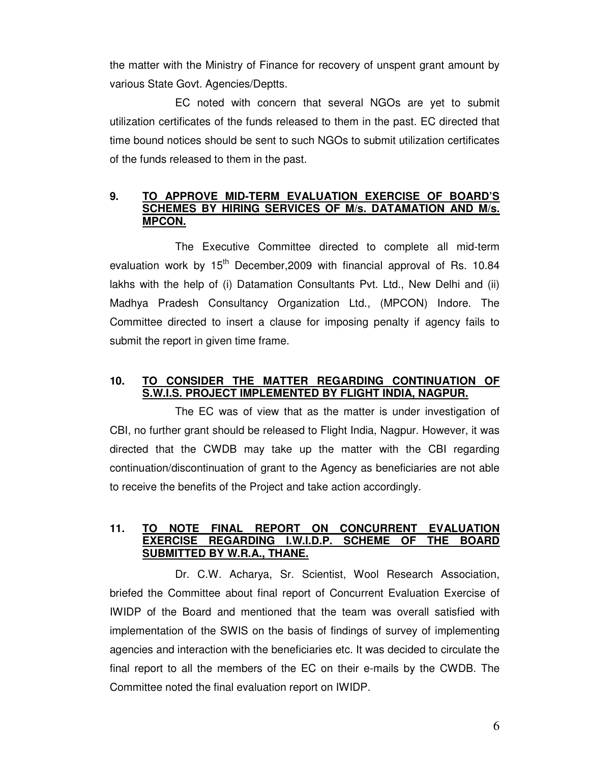the matter with the Ministry of Finance for recovery of unspent grant amount by various State Govt. Agencies/Deptts.

EC noted with concern that several NGOs are yet to submit utilization certificates of the funds released to them in the past. EC directed that time bound notices should be sent to such NGOs to submit utilization certificates of the funds released to them in the past.

### **9. TO APPROVE MID-TERM EVALUATION EXERCISE OF BOARD'S SCHEMES BY HIRING SERVICES OF M/s. DATAMATION AND M/s. MPCON.**

 The Executive Committee directed to complete all mid-term evaluation work by  $15<sup>th</sup>$  December, 2009 with financial approval of Rs. 10.84 lakhs with the help of (i) Datamation Consultants Pvt. Ltd., New Delhi and (ii) Madhya Pradesh Consultancy Organization Ltd., (MPCON) Indore. The Committee directed to insert a clause for imposing penalty if agency fails to submit the report in given time frame.

# **10. TO CONSIDER THE MATTER REGARDING CONTINUATION OF S.W.I.S. PROJECT IMPLEMENTED BY FLIGHT INDIA, NAGPUR.**

 The EC was of view that as the matter is under investigation of CBI, no further grant should be released to Flight India, Nagpur. However, it was directed that the CWDB may take up the matter with the CBI regarding continuation/discontinuation of grant to the Agency as beneficiaries are not able to receive the benefits of the Project and take action accordingly.

### **11. TO NOTE FINAL REPORT ON CONCURRENT EVALUATION EXERCISE REGARDING I.W.I.D.P. SCHEME OF THE BOARD SUBMITTED BY W.R.A., THANE.**

Dr. C.W. Acharya, Sr. Scientist, Wool Research Association, briefed the Committee about final report of Concurrent Evaluation Exercise of IWIDP of the Board and mentioned that the team was overall satisfied with implementation of the SWIS on the basis of findings of survey of implementing agencies and interaction with the beneficiaries etc. It was decided to circulate the final report to all the members of the EC on their e-mails by the CWDB. The Committee noted the final evaluation report on IWIDP.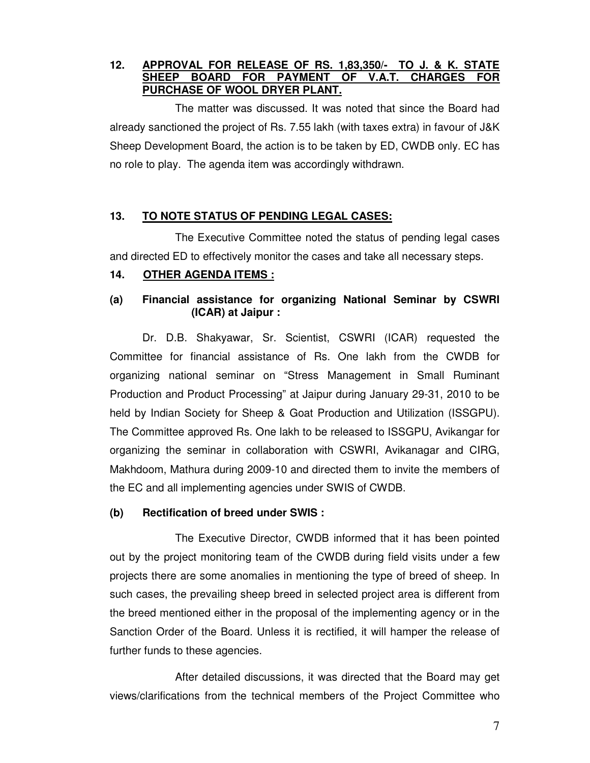### **12. APPROVAL FOR RELEASE OF RS. 1,83,350/- TO J. & K. STATE SHEEP BOARD FOR PAYMENT OF V.A.T. CHARGES FOR PURCHASE OF WOOL DRYER PLANT.**

 The matter was discussed. It was noted that since the Board had already sanctioned the project of Rs. 7.55 lakh (with taxes extra) in favour of J&K Sheep Development Board, the action is to be taken by ED, CWDB only. EC has no role to play. The agenda item was accordingly withdrawn.

# **13. TO NOTE STATUS OF PENDING LEGAL CASES:**

 The Executive Committee noted the status of pending legal cases and directed ED to effectively monitor the cases and take all necessary steps.

## **14. OTHER AGENDA ITEMS :**

# **(a) Financial assistance for organizing National Seminar by CSWRI (ICAR) at Jaipur :**

 Dr. D.B. Shakyawar, Sr. Scientist, CSWRI (ICAR) requested the Committee for financial assistance of Rs. One lakh from the CWDB for organizing national seminar on "Stress Management in Small Ruminant Production and Product Processing" at Jaipur during January 29-31, 2010 to be held by Indian Society for Sheep & Goat Production and Utilization (ISSGPU). The Committee approved Rs. One lakh to be released to ISSGPU, Avikangar for organizing the seminar in collaboration with CSWRI, Avikanagar and CIRG, Makhdoom, Mathura during 2009-10 and directed them to invite the members of the EC and all implementing agencies under SWIS of CWDB.

#### **(b) Rectification of breed under SWIS :**

 The Executive Director, CWDB informed that it has been pointed out by the project monitoring team of the CWDB during field visits under a few projects there are some anomalies in mentioning the type of breed of sheep. In such cases, the prevailing sheep breed in selected project area is different from the breed mentioned either in the proposal of the implementing agency or in the Sanction Order of the Board. Unless it is rectified, it will hamper the release of further funds to these agencies.

 After detailed discussions, it was directed that the Board may get views/clarifications from the technical members of the Project Committee who